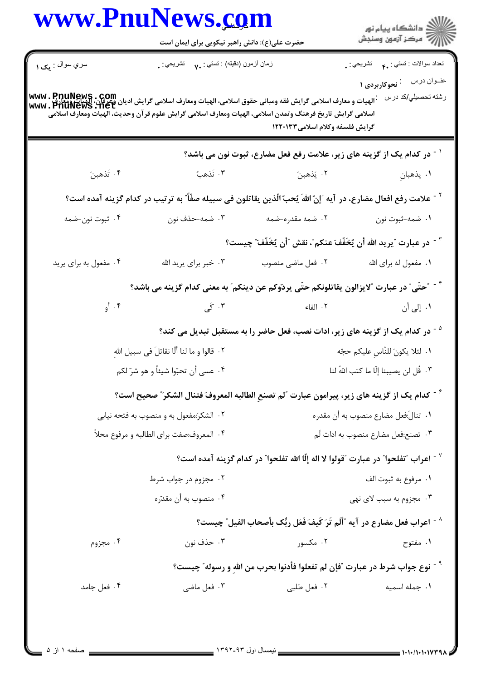|                                     |                                                  | www.PnuNews.com                                                                                                                                                                                                                                                                             | الاد دانشگاه پيام نور<br>ا¶ مرکز آزمون وسنجش                |  |
|-------------------------------------|--------------------------------------------------|---------------------------------------------------------------------------------------------------------------------------------------------------------------------------------------------------------------------------------------------------------------------------------------------|-------------------------------------------------------------|--|
|                                     | حضرت علی(ع): دانش راهبر نیکویی برای ایمان است    |                                                                                                                                                                                                                                                                                             |                                                             |  |
| سري سوال : يک ۱                     | زمان أزمون (دقيقه) : تستي : v.        تشريحي : . |                                                                                                                                                                                                                                                                                             | نعداد سوالات : نستني : ۴ <sub>۰</sub> نشريحي : <sub>.</sub> |  |
|                                     |                                                  |                                                                                                                                                                                                                                                                                             | عنـوان درس معنى : نحوكاربردى ١<br>رشته تحصيلي/كد درس        |  |
|                                     |                                                  | مت في السلامي على www . PnuNews . com<br>- الهيات و معارف اسلامي گرايش فقه ومباني حقوق اسلامي، الهيات ومعارف اسلامي گرايش اديان وغرطان، البيات وسلامي گ<br>- www . PhuNews . het<br>اسلامي گرايش تاريخ فرهنگ وتمدن اسلامي، الهيات ومعارف اسلامي گرايش علوم قرآن وحديث، الهيات ومعارف اسلامي |                                                             |  |
|                                     |                                                  | گرایش فلسفه وکلام اسلامی۱۲۲۰۱۳۳                                                                                                                                                                                                                                                             |                                                             |  |
|                                     |                                                  | <sup>1</sup> <sup>-</sup> در کدام یک از گزینه های زیر، علامت رفع فعل مضارع، ثبوت نون می باشد؟                                                                                                                                                                                               |                                                             |  |
| ۰۴ تَذهبنَ                          | ٣. نَذهبُ                                        | ۰۲ يَدْهينَ مَسْتَ مَسْتَ بِهِ الْمَسْتَ بِهِ الْمَسْتَ بِهِ الْمَسْتَ بِهِ الْمَسْتَ بِهِ الْمَسْتَ                                                                                                                                                                                        | <b>۱</b> . يذهبانِ                                          |  |
|                                     |                                                  | `` - علامت رفع افعال مضارع، در آيه ″إنّ اللهَ يُحبّ الّذين يقاتلون في سبيله صفّاً″ به ترتيب در كدام گزينه آمده است؟                                                                                                                                                                         |                                                             |  |
| ۰۴ ثبوت نون-ضمه                     | ۰۳ ضمه-حذف نون                                   | ۲. ضمه مقدره-ضمه                                                                                                                                                                                                                                                                            | ۰۱ ضمه-ثبوت نون                                             |  |
|                                     |                                                  | ّ ` در عبارت ″يريد الله أن يُخَفّفَ عنكم″، نقش ″أن يُخَفّفَ″ چيست؟                                                                                                                                                                                                                          |                                                             |  |
| ۰۴ مفعول به برای پرید               | ۰۳ خبر برای پرید الله                            | ۰۲ فعل ماضی منصوب                                                                                                                                                                                                                                                                           | ۰۱ مفعول له برای الله                                       |  |
|                                     |                                                  | <sup>۴ -</sup> "حتّى" در عبارت "لايزالون يقاتلونكم حتّى يردّوكم عن دينكم" به معنى كدام گزينه مى باشد؟                                                                                                                                                                                       |                                                             |  |
| ۰۴ أو                               | ۰۳ کی                                            | ٢. الفاء                                                                                                                                                                                                                                                                                    | ۰۱. إلى أن                                                  |  |
|                                     |                                                  | <sup>۵ -</sup> در کدام یک از گزینه های زیر، ادات نصب، فعل حاضر را به مستقبل تبدیل می کند؟                                                                                                                                                                                                   |                                                             |  |
|                                     | ٢ .  قالوا و ما لنا ألّا نقاتلَ في سبيل اللهِ    |                                                                                                                                                                                                                                                                                             | ٠١ لئلا يكونَ للنّاسِ عليكم حجّه                            |  |
| ۰۴ عسى أن تحبّوا شيئاً و هو شرّ لكم |                                                  |                                                                                                                                                                                                                                                                                             | ۰۳ قُل لن يصيبنا إلّا ما كتب الله <b>ُ</b> لنا              |  |
|                                     |                                                  | <sup>6 -</sup> كدام يك از گزينه هاى زير، پيرامون عبارت <sup>"</sup> لم تصنعِ الطالبه المعروفَ فتنال الشكرَ <sup>"</sup> صحيح است؟                                                                                                                                                           |                                                             |  |
|                                     | ۰۲ الشکرَ:مفعول به و منصوب به فتحه نيابي         | ٠١ تنالَ:فعل مضارع منصوب به أن مقدره                                                                                                                                                                                                                                                        |                                                             |  |
|                                     | ۰۴ المعروف:صفت براي الطالبه و مرفوع محلاً        |                                                                                                                                                                                                                                                                                             | ۰۳ تصنع:فعل مضارع منصوب به ادات لَم                         |  |
|                                     |                                                  | ّ أعراب "تفلحوا" در عبارت "قولوا لا اله إلّا الله تفلحوا" در كدام گزينه آمده است؟ "                                                                                                                                                                                                         |                                                             |  |
| ۰۲ مجزوم در جواب شرط                |                                                  |                                                                                                                                                                                                                                                                                             | ٠١. مرفوع به ثبوت الف                                       |  |
|                                     | ۰۴ منصوب به أن مقدّره                            |                                                                                                                                                                                                                                                                                             | ۰۳ مجزوم به سبب لای نهی                                     |  |
|                                     |                                                  | ^ - اعراب فعل مضارع در آيه ″أَلَم تَرَ كَيفَ فَعَل ربُّك بأصحاب الفيل″ چيست؟                                                                                                                                                                                                                |                                                             |  |
| ۰۴ مجزوم                            | ۰۳ حذف نون                                       | ۰۲ مکسور                                                                                                                                                                                                                                                                                    | ۰۱ مفتوح                                                    |  |
|                                     |                                                  | <sup>9 -</sup> نوع جواب شرط در عبارت ″فإن لم تفعلوا فأدنوا بحرب من الله و رسوله″ چیست؟                                                                                                                                                                                                      |                                                             |  |
| ۰۴ فعل جامد                         | ۰۳ فعل ماضي                                      | ٠٢ فعل طلبي                                                                                                                                                                                                                                                                                 | ٠١. جمله اسميه                                              |  |

 $\overline{a}$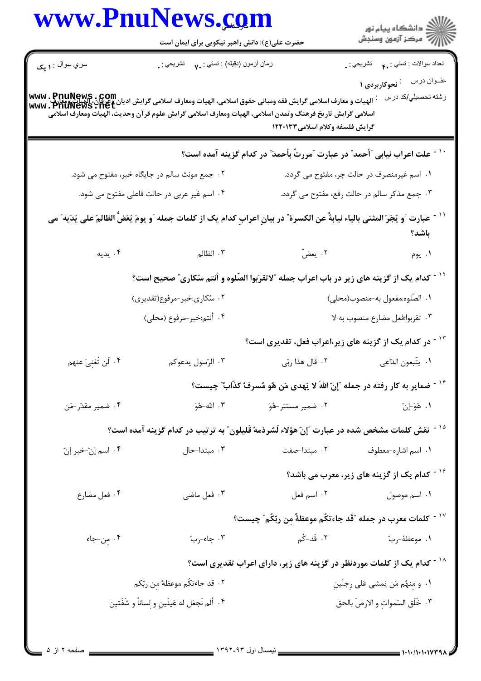|                                                                          |                                                                                                                                                                                                                                                                                                          | www.PnuNews.com                               |                                               |
|--------------------------------------------------------------------------|----------------------------------------------------------------------------------------------------------------------------------------------------------------------------------------------------------------------------------------------------------------------------------------------------------|-----------------------------------------------|-----------------------------------------------|
|                                                                          |                                                                                                                                                                                                                                                                                                          | حضرت علی(ع): دانش راهبر نیکویی برای ایمان است |                                               |
| نعداد سوالات : تستبي : .م         تشريحي : .<br>عفوان درس منتجوکاربردی ۱ |                                                                                                                                                                                                                                                                                                          | زمان أزمون (دقيقه) : تستي : ٧. تشريحي : .     | سري سوال : <b>۱ يک</b>                        |
| رشته تحصيلي/كد درس                                                       | www . PnuNews . Com<br>الهيات و معارف اسلامي گرايش فقه ومباني حقوق اسلامي، الهيات ومعارف اسلامي گرايش اديان وعرفان، الهيات ومعارفي<br>www . PnuNews . net<br>اسلامي گرايش تاريخ فرهنگ وتمدن اسلامي، الهيات ومعارف اسلامي گرايش علوم قر آن وحديث، الهيات ومعارف اسلامي<br>گرایش فلسفه وکلام اسلامی۱۲۲۰۱۳۳ |                                               |                                               |
|                                                                          | علت اعراب نیابی "أحمد" در عبارت "مررتٌ بأحمدَ" در کدام گزینه آمده است؟                                                                                                                                                                                                                                   |                                               |                                               |
| ۰۱ اسم غیرمنصرف در حالت جر، مفتوح می گردد.                               |                                                                                                                                                                                                                                                                                                          |                                               | ۰۲ جمع مونث سالم در جایگاه خبر، مفتوح می شود. |
| ۰۳ جمع مذکر سالم در حالت رفع، مفتوح می گردد.                             |                                                                                                                                                                                                                                                                                                          | ۰۴ اسم غیر عربی در حالت فاعلی مفتوح می شود.   |                                               |
| باشد؟                                                                    | عبارت "و يُجَرّ المثنى بالياء نيابةً عن الكسرة" در بيانِ اعرابِ كدام يک از كلمات جمله "و يومَ يَعَضُّ الظالمُ على يَدَيه" مى                                                                                                                                                                             |                                               |                                               |
| ۰۱ يوم                                                                   | ۰۲ يعضّ                                                                                                                                                                                                                                                                                                  | ۰۳ الظال <sub>م</sub>                         | ۰۴ يديه                                       |
|                                                                          | <sup>۱۲ -</sup> کدام یک از گزینه های زیر در باب اعراب جمله <sup>"</sup> لاتقرَبوا الصّلوه و أنتم سُکاری <i>" صح</i> یح است؟                                                                                                                                                                              |                                               |                                               |
| ١. الصّلوه:مفعول به-منصوب(محلى)                                          |                                                                                                                                                                                                                                                                                                          | ۰۲ سُکاری:خبر-مرفوع(تقدیری)                   |                                               |
| ۰۳ تقربوا:فعل مضارع منصوب به لا                                          |                                                                                                                                                                                                                                                                                                          | ۴. أنتم:خبر-مرفوع (محلي)                      |                                               |
|                                                                          | <sup>۱۳ -</sup> در کدام یک از گزینه های زیر،اعراب فعل، تقدیری است؟                                                                                                                                                                                                                                       |                                               |                                               |
| ٠١ يتّبعون الدّاعي                                                       | ۲. قال هذا ربّى                                                                                                                                                                                                                                                                                          | ۰۳ الرّسول يدعوكم                             | ۴. لَن تُغنِيَ عنهم                           |
|                                                                          | <sup>۱۴ -</sup> ضمایر به کار رفته در جمله ″إنّ اللهَ لا یَهدی مَن هُو مُسرفٌ کذّابٌ چیست؟                                                                                                                                                                                                                |                                               |                                               |
| ١. هُوَ-إنّ                                                              | ۰۲ ضمیر مستتر-هُوَ                                                                                                                                                                                                                                                                                       | ۰۳ الله-هُوَ                                  | ۰۴ ضمير مقدّر-مَن                             |
|                                                                          | <sup>۱۵ -</sup> نقش کلمات مشخص شده در عبارت ″إنّ هؤلاء لَشرذمه ٌقَليلون″ به ترتيب در کدام گزينه آمده است؟                                                                                                                                                                                                |                                               |                                               |
| ۰۱ اسم اشاره-معطوف مستدا-صفت                                             |                                                                                                                                                                                                                                                                                                          | ۰۳ مبتدا–حال                                  | ۰۴ اسم إنّ-خبر إنّ                            |
| <sup>۱۶ -</sup> کدام یک از گزینه های زیر، معرب می باشد؟                  |                                                                                                                                                                                                                                                                                                          |                                               |                                               |
| ۰۱ اسم موصول کیسی اسم فعل                                                |                                                                                                                                                                                                                                                                                                          | ۰۳ فعل ماضی                                   | ۰۴ فعل مضارع                                  |
|                                                                          | `` كلمات معرب در جمله ″قَد جاءتكُم موعظةٌ مِن ربّكُم ؒ چيست؟                                                                                                                                                                                                                                             |                                               |                                               |
|                                                                          |                                                                                                                                                                                                                                                                                                          | ۰۳ جاء-ربّ                                    | ۰۴ مِن-جاء                                    |
|                                                                          | <sup>۱۸ -</sup> کدام یک از کلمات موردنظر در گزینه های زیر، دارای اعراب تقدیری است؟                                                                                                                                                                                                                       |                                               |                                               |
| ١. و مِنهُم مَن يَمشى عَلى رِجلَينِ                                      |                                                                                                                                                                                                                                                                                                          | ٢. قد جاءتكُم موعظهٌ من ربّكم                 |                                               |
| ٣. خَلَق السّمواتِ و الارضَ بالحق                                        |                                                                                                                                                                                                                                                                                                          | ۴. ألم نَجعَل له عَينَينِ و لِساناً و شَفَتين |                                               |

Ē.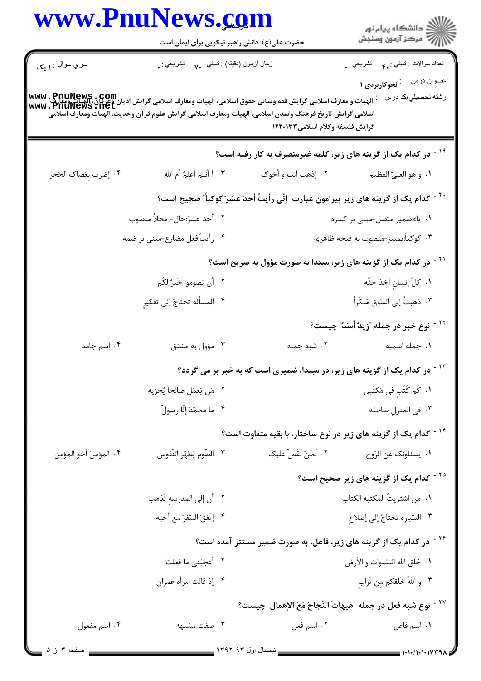|                        | www.PnuNews.com                                                                                                                                                                                                                                                       |                                 |                                                                                              |  |
|------------------------|-----------------------------------------------------------------------------------------------------------------------------------------------------------------------------------------------------------------------------------------------------------------------|---------------------------------|----------------------------------------------------------------------------------------------|--|
|                        | حضرت علی(ع): دانش راهبر نیکویی برای ایمان است                                                                                                                                                                                                                         |                                 | ر<br>پر دانشگاه پيام نور<br>پر مرکز آزمون وسنجش                                              |  |
| سري سوال : <b>۱ يک</b> | زمان أزمون (دقيقه) : نستي : ٧٠     نشريحي : .                                                                                                                                                                                                                         |                                 | نعداد سوالات : تستي : .م         تشريحي : .<br>ع <i>نـو</i> ان درس <sup>:</sup> نحوکاربردی ۱ |  |
|                        | www . PnuNews . Com<br> الهيات و معارف اسلامي گرايش فقه ومباني حقوق اسلامي، الهيات ومعارف اسلامي گرايش اديان وجرفان، الهيات ومعارف<br> www . PnuNews . net<br>اسلامي گرايش تاريخ فرهنگ وتمدن اسلامي، الهيات ومعارف اسلامي گرايش علوم قرآن وحديث، الهيات ومعارف اسلامي | گرایش فلسفه وکلام اسلامی۱۲۲۰۱۳۳ | رشته تحصيلي/كد درس                                                                           |  |
|                        |                                                                                                                                                                                                                                                                       |                                 | <sup>۱۹ -</sup> در کدام یک از گزینه های زیر، کلمه غیرمنصرف به کار رفته است؟                  |  |
| ۰۴ إضرب بعَصاك الحَجر  | ٠٣ أَ أَنتم أَعلمُ أَم الله                                                                                                                                                                                                                                           | ۰۲ إذهب أنت و أخوك              | ٠١. و هو العليّ العظيم                                                                       |  |
|                        |                                                                                                                                                                                                                                                                       |                                 | `` - كدام يك از گزينه هاى زير پيرامون عبارت "إنّي رأيتُ أحدَ عشرَ كوكباً″ صحيح است؟          |  |
|                        | ٢. أحد عشرَ:حال- محلاً منصوب                                                                                                                                                                                                                                          |                                 | ۰۱ ياء:ضمير متصل-مبنى بر كسره                                                                |  |
|                        | ۰۴ رأيتُ:فعل مضارع-مبني بر ضمه                                                                                                                                                                                                                                        |                                 | ۰۳ کوکباً:تمییز-منصوب به فتحه ظاهری                                                          |  |
|                        |                                                                                                                                                                                                                                                                       |                                 | <sup>۲۱ -</sup> در کدام یک از گزینه های زیر، مبتدا به صورت مؤول به صریح است؟                 |  |
|                        | ٢. أن تصوموا خَيرٌ لكُم                                                                                                                                                                                                                                               |                                 | ٠١. كلّ إنسانِ أخذ حقّه                                                                      |  |
|                        | ۴. المسأله تحتاجُ إلى تفكيرٍ                                                                                                                                                                                                                                          |                                 | ٠٣ ذهبتُ إلى السّوق مُبَكّراً                                                                |  |
|                        |                                                                                                                                                                                                                                                                       |                                 | <sup>۲۲ -</sup> نوع خبر در جمله ″زیدٌ أسَدٌ″ چیست؟                                           |  |
| ۰۴ اسم جامد            | ۰۳ مؤول به مشتق                                                                                                                                                                                                                                                       | ۰۲ شبه جمله                     | ٠١ جمله اسميه                                                                                |  |
|                        | <sup>۲۲ -</sup> در کدام یک از گزینه های زیر، در مبتدا، ضمیری است که به خبر بر می گردد؟                                                                                                                                                                                |                                 |                                                                                              |  |
|                        | ٠٢ مَن يَعمَل صالحاً يُجزيه                                                                                                                                                                                                                                           |                                 | ۰۱ کَم کُتُبِ فی مَکتَبی                                                                     |  |
|                        | ۰۴ ما محمّدٌ إلّا رسولٌ                                                                                                                                                                                                                                               |                                 | ۰۳ في المنزل صاحبُه                                                                          |  |
|                        |                                                                                                                                                                                                                                                                       |                                 | <sup>۲۴ -</sup> کدام یک از گزینه های زیر در نوع ساختار، با بقیه متفاوت است؟                  |  |
| ۰۴ المؤمنُ أخو المؤمن  | ٠٣ الصّوم يُطهّر النّفوس                                                                                                                                                                                                                                              | ٠٢ نَحنُ نَقُصّ عليک            | ٠١. يَسئلونك عَنِ الرّوح                                                                     |  |
|                        |                                                                                                                                                                                                                                                                       |                                 | <sup>۲۵ -</sup> کدام یک از گزینه های زیر صحیح است؟                                           |  |
|                        | ٠٢ أن إلى المدرسهِ تَذهب                                                                                                                                                                                                                                              |                                 | ٠١. من اشتريتُ المكتبه الكتاب                                                                |  |
|                        | ۰۴ إتّفقَ السّقرَ مع أخيه                                                                                                                                                                                                                                             |                                 | ۰۳ السّياره تحتاجُ إلى إصلاحِ                                                                |  |
|                        |                                                                                                                                                                                                                                                                       |                                 | <sup>۲۶ -</sup> در کدام یک از گزینه های زیر، فاعل، به صورت ضمیر مستتر آمده است؟              |  |
|                        | ٢. أعجَبَني ما فعلتَ                                                                                                                                                                                                                                                  |                                 | ٠١. خَلَق الله السّموات و الأرض                                                              |  |
|                        | ۰۴ إذ قالت امرأه عمران                                                                                                                                                                                                                                                |                                 | ٠٣ واللهُ خَلَقكم مِن تُرابِ                                                                 |  |
|                        |                                                                                                                                                                                                                                                                       |                                 | ``` نوع شبه فعل در جمله "هَيهاتَ النّجاحُ مَعَ الإهمالِ" چيست؟                               |  |
| ۰۴ اسم مفعول           | ۰۳ صفت مشبهه                                                                                                                                                                                                                                                          | ٠٢ اسم فعل                      | ٠١. اسم فاعل                                                                                 |  |

Ē.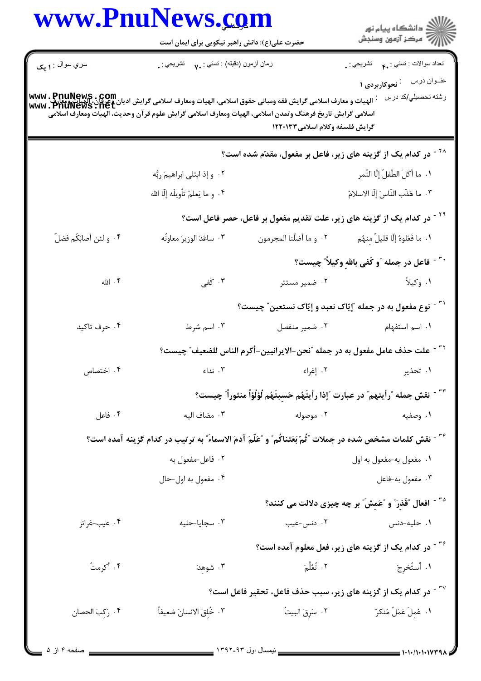|                         | www.PnuNews.com<br>حضرت علی(ع): دانش راهبر نیکویی برای ایمان است                                                                                                                                                                                                    |                                                                                                            | الاد دانشگاه پيام نور<br>الاستمر آزمون وسنجش                                                                            |  |
|-------------------------|---------------------------------------------------------------------------------------------------------------------------------------------------------------------------------------------------------------------------------------------------------------------|------------------------------------------------------------------------------------------------------------|-------------------------------------------------------------------------------------------------------------------------|--|
| سري سوال : ۱ يک         | زمان أزمون (دقيقه) : تستي : ٧٠ - تشريحي : .                                                                                                                                                                                                                         |                                                                                                            | نعداد سوالات : نستي : .م         نشريحي : .                                                                             |  |
|                         | WWW . PnuNews . COm<br>الهيات و معارف اسلامي گرايش فقه ومباني حقوق اسلامي، الهيات ومعارف اسلامي گرايش اديان وغرفان، الهيات ومعارف<br>WWW . PnuNeWS . net<br>اسلامي گرايش تاريخ فرهنگ وتمدن اسلامي، الهيات ومعارف اسلامي گرايش علوم قرآن وحديث، الهيات ومعارف اسلامي | گرایش فلسفه وکلام اسلامی۱۲۲۰۱۳۳                                                                            | عنـوان درس <sup>:</sup> نحوکاربردی ۱<br>رشته تحصيلي/كد درس                                                              |  |
|                         |                                                                                                                                                                                                                                                                     |                                                                                                            | <sup>۲۸ -</sup> در کدام یک از گزینه های زیر، فاعل بر مفعول، مقدّم شده است؟                                              |  |
|                         | ۰۲ و إذ ابتلى ابراهيمَ ربُّه                                                                                                                                                                                                                                        |                                                                                                            | ٠١. ما أكَلَ الطّفلُ إلّا التّمر                                                                                        |  |
|                         | ۴. و ما يَعلمُ تأويلَه إلّا الله                                                                                                                                                                                                                                    |                                                                                                            | ٠٣ ما هَذَّب النَّاسَ إِلَّا الاسلامُ                                                                                   |  |
|                         |                                                                                                                                                                                                                                                                     |                                                                                                            | <sup>۲۹ -</sup> در کدام یک از گزینه های زیر، علت تقدیم مفعول بر فاعل، حصر فاعل است؟                                     |  |
| ۰۴ و لَئن أصابَكُم فضلٌ | ٠٣ ساعَدَ الوزيرَ معاونَه                                                                                                                                                                                                                                           | ٢. و ما أضلّنا المجرمون                                                                                    | ٠١. ما فَعَلوهُ إِلَّا قليلٌ مِنهُم                                                                                     |  |
|                         |                                                                                                                                                                                                                                                                     |                                                                                                            | <sup>۳۰ -</sup> فاعل در جمله ،ّو کَفی بالله وکیلاً ؒ چیست؟                                                              |  |
| ۴. الله                 | ۰۳ کَفی                                                                                                                                                                                                                                                             | ۰۲ ضمیر مستتر                                                                                              | ١. وكيلاً                                                                                                               |  |
|                         |                                                                                                                                                                                                                                                                     |                                                                                                            | <sup>۳۱ -</sup> نوع مفعول به در جمله "إيّاک نعبد و إيّاک نستعين" چيست؟                                                  |  |
| ۰۴ حرف تاکید            | ۰۳ اسم شرط                                                                                                                                                                                                                                                          | ٠٢ ضمير منفصل                                                                                              | ٠١. اسم استفهام                                                                                                         |  |
|                         |                                                                                                                                                                                                                                                                     |                                                                                                            | <sup>٣٢ -</sup> علت حذف عامل مفعول به در جمله ″نحن-الايرانيين-أكرم الناس للضعيف″ چيست؟                                  |  |
| ۰۴ اختصاص               |                                                                                                                                                                                                                                                                     | ٠١ تحذير مستخدم المستخدم المستخدم المستخدم المستخدم المستخدم المستخدم المستخدم المستخدم المستخدم المستخدمة |                                                                                                                         |  |
|                         |                                                                                                                                                                                                                                                                     |                                                                                                            | <sup>٣٣ -</sup> نقش جمله ″رأيتهم″ در عبارت ″إذا رأيتَهُم حَسِبتَهُم لُؤلُؤاً منثوراً″ چيست؟                             |  |
| ۰۴ فاعل                 | ٠٣ مضاف اليه                                                                                                                                                                                                                                                        |                                                                                                            | ۰۲ موصوله<br>۰۱ وصفیه                                                                                                   |  |
|                         |                                                                                                                                                                                                                                                                     |                                                                                                            | <sup>۳۴ -</sup> نقش كلمات مشخص شده در جملات ″ثّمّ بَعَثناكُم″ و ″عَلّمَ آدمَ الاسماءَ″ به ترتیب در كدام گزینه آمده است؟ |  |
|                         | ۰۲ فاعل-مفعول به                                                                                                                                                                                                                                                    |                                                                                                            | ٠١ مفعول به-مفعول به اول                                                                                                |  |
|                         | ۰۴ مفعول به اول-حال                                                                                                                                                                                                                                                 |                                                                                                            | ۰۳ مفعول به-فاعل                                                                                                        |  |
|                         |                                                                                                                                                                                                                                                                     |                                                                                                            | <sup>۳۵ -</sup> افعال 'قَذر ؒ و 'عَمِش ؒ بر چه چیزی دلالت می کنند؟                                                      |  |
| ۰۴ عيب-غرائز            | ۰۳ سجایا-حلیه                                                                                                                                                                                                                                                       | ۰۲ دنس-عیب                                                                                                 | ۰۱ حلیه-دنس                                                                                                             |  |
|                         |                                                                                                                                                                                                                                                                     |                                                                                                            | <sup>۳۶ -</sup> در کدام یک از گزینه های زیر، فعل معلوم آمده است؟                                                        |  |
| ۰۴ أكرمتُ               | ۰۳ شوهدَ                                                                                                                                                                                                                                                            | ٢. تُعُلِّمَ                                                                                               | ١. أَستُخرِجَ                                                                                                           |  |
|                         |                                                                                                                                                                                                                                                                     |                                                                                                            | <sup>۳۷ -</sup> در کدام یک از گزینه های زیر، سبب حذف فاعل، تحقیر فاعل است؟                                              |  |
| ۰۴ رُكِبَ الحصان        | ٣. خُلقَ الانسانُ ضعيفاً                                                                                                                                                                                                                                            | ۰۲ سُرِقَ البيتُ                                                                                           | ٠١. عُمِلَ عَمَلٌ مُنكرٌ                                                                                                |  |